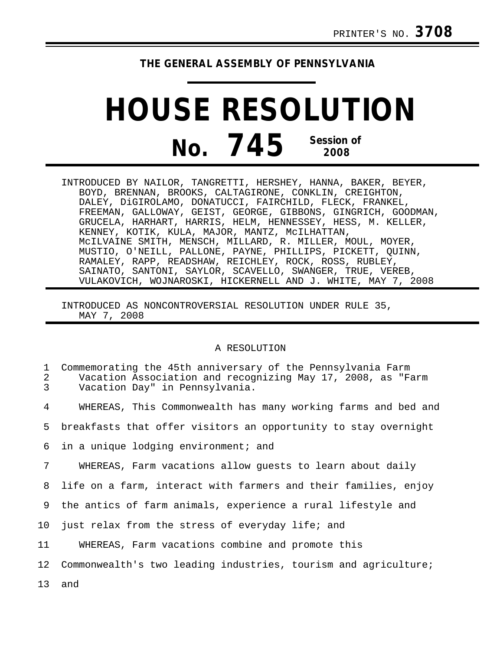## **THE GENERAL ASSEMBLY OF PENNSYLVANIA**

## **HOUSE RESOLUTION No. 745 Session of 2008**

INTRODUCED BY NAILOR, TANGRETTI, HERSHEY, HANNA, BAKER, BEYER, BOYD, BRENNAN, BROOKS, CALTAGIRONE, CONKLIN, CREIGHTON, DALEY, DiGIROLAMO, DONATUCCI, FAIRCHILD, FLECK, FRANKEL, FREEMAN, GALLOWAY, GEIST, GEORGE, GIBBONS, GINGRICH, GOODMAN, GRUCELA, HARHART, HARRIS, HELM, HENNESSEY, HESS, M. KELLER, KENNEY, KOTIK, KULA, MAJOR, MANTZ, McILHATTAN, McILVAINE SMITH, MENSCH, MILLARD, R. MILLER, MOUL, MOYER, MUSTIO, O'NEILL, PALLONE, PAYNE, PHILLIPS, PICKETT, QUINN, RAMALEY, RAPP, READSHAW, REICHLEY, ROCK, ROSS, RUBLEY, SAINATO, SANTONI, SAYLOR, SCAVELLO, SWANGER, TRUE, VEREB, VULAKOVICH, WOJNAROSKI, HICKERNELL AND J. WHITE, MAY 7, 2008

INTRODUCED AS NONCONTROVERSIAL RESOLUTION UNDER RULE 35, MAY 7, 2008

## A RESOLUTION

| 1<br>2<br>3 | Commemorating the 45th anniversary of the Pennsylvania Farm<br>Vacation Association and recognizing May 17, 2008, as "Farm<br>Vacation Day" in Pennsylvania. |
|-------------|--------------------------------------------------------------------------------------------------------------------------------------------------------------|
| 4           | WHEREAS, This Commonwealth has many working farms and bed and                                                                                                |
| 5.          | breakfasts that offer visitors an opportunity to stay overnight                                                                                              |
| 6           | in a unique lodging environment; and                                                                                                                         |
| 7           | WHEREAS, Farm vacations allow quests to learn about daily                                                                                                    |
| 8           | life on a farm, interact with farmers and their families, enjoy                                                                                              |
| 9           | the antics of farm animals, experience a rural lifestyle and                                                                                                 |
| 10          | just relax from the stress of everyday life; and                                                                                                             |
| 11          | WHEREAS, Farm vacations combine and promote this                                                                                                             |
| 12          | Commonwealth's two leading industries, tourism and agriculture;                                                                                              |
|             | 13 and                                                                                                                                                       |